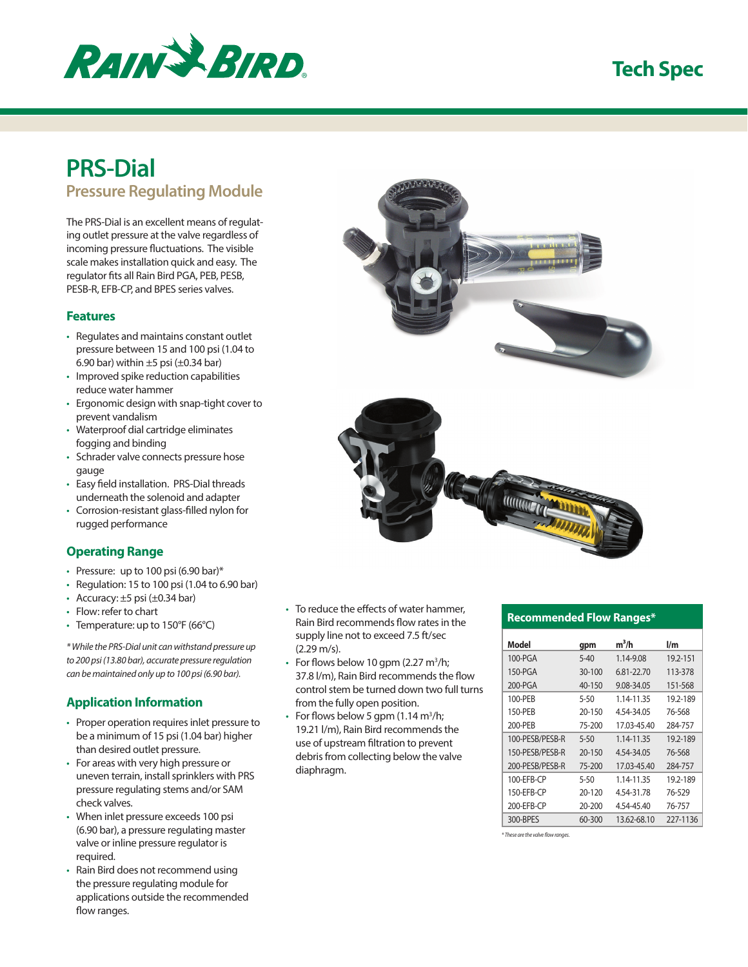

## **Tech Spec**

# **PRS-Dial**

**Pressure Regulating Module**

The PRS-Dial is an excellent means of regulating outlet pressure at the valve regardless of incoming pressure fluctuations. The visible scale makes installation quick and easy. The regulator fits all Rain Bird PGA, PEB, PESB, PESB-R, EFB-CP, and BPES series valves.

#### **Features**

- Regulates and maintains constant outlet pressure between 15 and 100 psi (1.04 to 6.90 bar) within  $\pm 5$  psi ( $\pm 0.34$  bar)
- Improved spike reduction capabilities reduce water hammer
- Ergonomic design with snap-tight cover to prevent vandalism
- Waterproof dial cartridge eliminates fogging and binding
- Schrader valve connects pressure hose gauge
- Easy field installation. PRS-Dial threads underneath the solenoid and adapter
- Corrosion-resistant glass-filled nylon for rugged performance

### **Operating Range**

- Pressure: up to 100 psi (6.90 bar)\*
- Regulation: 15 to 100 psi (1.04 to 6.90 bar)
- Accuracy:  $\pm 5$  psi ( $\pm 0.34$  bar)
- Flow: refer to chart
- Temperature: up to 150°F (66°C)

*\* While the PRS-Dial unit can withstand pressure up to 200 psi (13.80 bar), accurate pressure regulation can be maintained only up to 100 psi (6.90 bar).*

#### **Application Information**

- Proper operation requires inlet pressure to be a minimum of 15 psi (1.04 bar) higher than desired outlet pressure.
- For areas with very high pressure or uneven terrain, install sprinklers with PRS pressure regulating stems and/or SAM check valves.
- When inlet pressure exceeds 100 psi (6.90 bar), a pressure regulating master valve or inline pressure regulator is required.
- Rain Bird does not recommend using the pressure regulating module for applications outside the recommended flow ranges.
- To reduce the effects of water hammer, Rain Bird recommends flow rates in the supply line not to exceed 7.5 ft/sec (2.29 m/s).
- For flows below 10 gpm (2.27  $m^3/h$ ; 37.8 l/m), Rain Bird recommends the flow control stem be turned down two full turns from the fully open position.
- For flows below 5 gpm  $(1.14 \text{ m}^3/\text{h})$ ; 19.21 l/m), Rain Bird recommends the use of upstream filtration to prevent debris from collecting below the valve diaphragm.



#### **Recommended Flow Ranges\***

| Model           | gpm      | $m^3/h$     | l/m      |
|-----------------|----------|-------------|----------|
| 100-PGA         | $5 - 40$ | 1.14-9.08   | 19.2-151 |
| 150-PGA         | 30-100   | 6.81-22.70  | 113-378  |
| 200-PGA         | 40-150   | 9.08-34.05  | 151-568  |
| 100-PEB         | 5-50     | 1.14-11.35  | 19.2-189 |
| 150-PEB         | 20-150   | 4.54-34.05  | 76-568   |
| 200-PEB         | 75-200   | 17.03-45.40 | 284-757  |
| 100-PESB/PESB-R | $5 - 50$ | 1.14-11.35  | 19.2-189 |
| 150-PESB/PESB-R | 20-150   | 4.54-34.05  | 76-568   |
| 200-PESB/PESB-R | 75-200   | 17.03-45.40 | 284-757  |
| 100-EFB-CP      | 5-50     | 1.14-11.35  | 19.2-189 |
| 150-EFB-CP      | 20-120   | 4.54-31.78  | 76-529   |
| 200-EFB-CP      | 20-200   | 4.54-45.40  | 76-757   |
| 300-BPES        | 60-300   | 13.62-68.10 | 227-1136 |

*\* These are the valve flow ranges.*